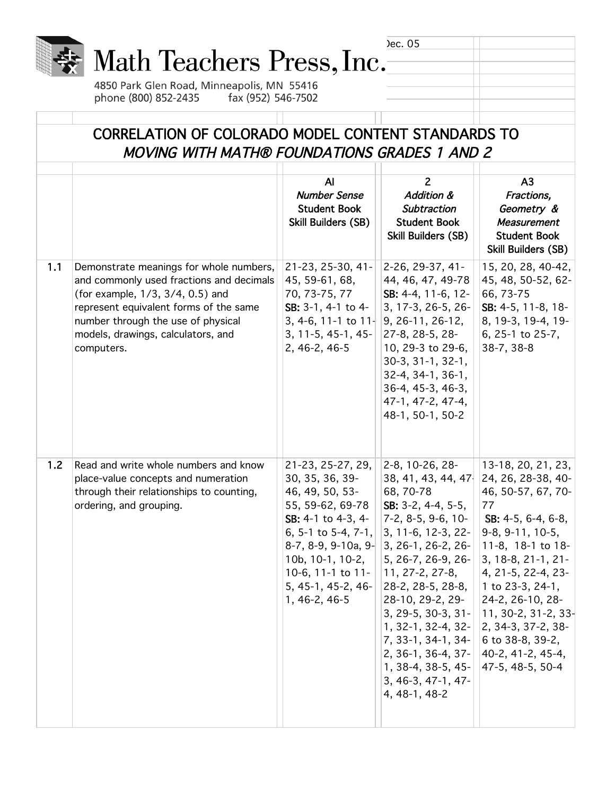|     |                                                                                                                                                                                                                                                             |                                                                                                                                                                                        | Dec. 05                                                                                                                                                                                                                                                                                                                                                                                                                                                                                                                                                                                                                                                                                                                                                                                                                                     |                                                                                                                                                                                                         |
|-----|-------------------------------------------------------------------------------------------------------------------------------------------------------------------------------------------------------------------------------------------------------------|----------------------------------------------------------------------------------------------------------------------------------------------------------------------------------------|---------------------------------------------------------------------------------------------------------------------------------------------------------------------------------------------------------------------------------------------------------------------------------------------------------------------------------------------------------------------------------------------------------------------------------------------------------------------------------------------------------------------------------------------------------------------------------------------------------------------------------------------------------------------------------------------------------------------------------------------------------------------------------------------------------------------------------------------|---------------------------------------------------------------------------------------------------------------------------------------------------------------------------------------------------------|
|     | Math Teachers Press, Inc.                                                                                                                                                                                                                                   |                                                                                                                                                                                        |                                                                                                                                                                                                                                                                                                                                                                                                                                                                                                                                                                                                                                                                                                                                                                                                                                             |                                                                                                                                                                                                         |
|     |                                                                                                                                                                                                                                                             |                                                                                                                                                                                        |                                                                                                                                                                                                                                                                                                                                                                                                                                                                                                                                                                                                                                                                                                                                                                                                                                             |                                                                                                                                                                                                         |
|     | 4850 Park Glen Road, Minneapolis, MN 55416<br>phone (800) 852-2435<br>fax (952) 546-7502                                                                                                                                                                    |                                                                                                                                                                                        |                                                                                                                                                                                                                                                                                                                                                                                                                                                                                                                                                                                                                                                                                                                                                                                                                                             |                                                                                                                                                                                                         |
|     |                                                                                                                                                                                                                                                             |                                                                                                                                                                                        |                                                                                                                                                                                                                                                                                                                                                                                                                                                                                                                                                                                                                                                                                                                                                                                                                                             |                                                                                                                                                                                                         |
|     |                                                                                                                                                                                                                                                             |                                                                                                                                                                                        |                                                                                                                                                                                                                                                                                                                                                                                                                                                                                                                                                                                                                                                                                                                                                                                                                                             |                                                                                                                                                                                                         |
|     | CORRELATION OF COLORADO MODEL CONTENT STANDARDS TO<br>MOVING WITH MATH® FOUNDATIONS GRADES 1 AND 2                                                                                                                                                          |                                                                                                                                                                                        |                                                                                                                                                                                                                                                                                                                                                                                                                                                                                                                                                                                                                                                                                                                                                                                                                                             |                                                                                                                                                                                                         |
|     |                                                                                                                                                                                                                                                             | $\mathsf{A}$<br><b>Number Sense</b><br><b>Student Book</b><br>Skill Builders (SB)                                                                                                      | $\overline{2}$<br><b>Addition &amp;</b><br><b>Subtraction</b><br><b>Student Book</b><br><b>Skill Builders (SB)</b>                                                                                                                                                                                                                                                                                                                                                                                                                                                                                                                                                                                                                                                                                                                          | A <sub>3</sub><br>Fractions,<br>Geometry &<br><b>Measurement</b><br><b>Student Book</b><br><b>Skill Builders (SB)</b>                                                                                   |
| 1.1 | Demonstrate meanings for whole numbers,<br>and commonly used fractions and decimals<br>(for example, 1/3, 3/4, 0.5) and<br>represent equivalent forms of the same<br>number through the use of physical<br>models, drawings, calculators, and<br>computers. | 21-23, 25-30, 41-<br>45, 59-61, 68,<br>70, 73-75, 77<br>SB: 3-1, 4-1 to 4-<br>$3, 4-6, 11-1$ to $11-$<br>3, 11-5, 45-1, 45-<br>2, 46-2, 46-5                                           | 2-26, 29-37, 41-<br>44, 46, 47, 49-78<br>SB: 4-4, 11-6, 12-<br>3, 17-3, 26-5, 26-<br>$ 9, 26-11, 26-12,$<br>27-8, 28-5, 28-<br>10, 29-3 to 29-6,<br>$30-3, 31-1, 32-1,$<br>32-4, 34-1, 36-1,<br>36-4, 45-3, 46-3,<br>47-1, 47-2, 47-4,<br>48-1, 50-1, 50-2                                                                                                                                                                                                                                                                                                                                                                                                                                                                                                                                                                                  | 15, 20, 28, 40-42,<br>45, 48, 50-52, 62-<br>66, 73-75<br>SB: 4-5, 11-8, 18-<br>8, 19-3, 19-4, 19-<br>6, 25-1 to 25-7,<br>38-7, 38-8                                                                     |
| 1.2 | Read and write whole numbers and know<br>place-value concepts and numeration<br>through their relationships to counting,<br>ordering, and grouping.                                                                                                         | 21-23, 25-27, 29,<br>30, 35, 36, 39-<br>46, 49, 50, 53-<br>55, 59-62, 69-78<br>SB: 4-1 to 4-3, 4-<br>$10b, 10-1, 10-2,$<br>10-6, 11-1 to $11$ -<br>5, 45-1, 45-2, 46-<br>1, 46-2, 46-5 | 2-8, 10-26, 28-<br>$ 68, 70-78$<br>$\left $ SB: 3-2, 4-4, 5-5,<br>$ 7-2, 8-5, 9-6, 10- $<br>6, 5-1 to 5-4, 7-1, 3, 11-6, 12-3, 22- 9-8, 9-11, 10-5,<br>8-7, 8-9, 9-10a, 9- 3, 26-1, 26-2, 26- 111-8, 18-1 to 18-<br>$ 5, 26-7, 26-9, 26- $<br>$ 11, 27-2, 27-8,$<br>$ 28-2, 28-5, 28-8,  $ 1 to 23-3, 24-1,<br>$ 28-10, 29-2, 29  24-2, 26-10, 28-$<br>$\vert 1, 32 - 1, 32 - 4, 32 - \vert \vert 2, 34 - 3, 37 - 2, 38 - \vert 2, 32 - 1, 32 - 1 \vert 2, 34 - 3, 37 - 2, 38 - \vert 2, 32 - 1 \vert 2, 34 - 3, 37 - 2, 38 - \vert 2, 32 - 1 \vert 2, 34 - 3, 37 - 2, 38 - \vert 2, 32 - 1 \vert 2, 34 - 3, 37 - 2, 38 - \vert 2, 32 - 1 \vert 2, 34 - 3, 37 - 2$<br>7, 33-1, 34-1, 34- 6 to 38-8, 39-2,<br>2, 36-1, 36-4, 37- $ $ 40-2, 41-2, 45-4,<br>$1, 38-4, 38-5, 45$   $ 47-5, 48-5, 50-4$<br>$3, 46-3, 47-1, 47-$<br>4, 48-1, 48-2 | 13-18, 20, 21, 23,<br>38, 41, 43, 44, 47 24, 26, 28-38, 40-<br>46, 50-57, 67, 70-<br>77<br>$SB: 4-5, 6-4, 6-8,$<br>3, 18-8, 21-1, 21-<br>4, 21-5, 22-4, 23-<br>$3, 29-5, 30-3, 31-$ 11, 30-2, 31-2, 33- |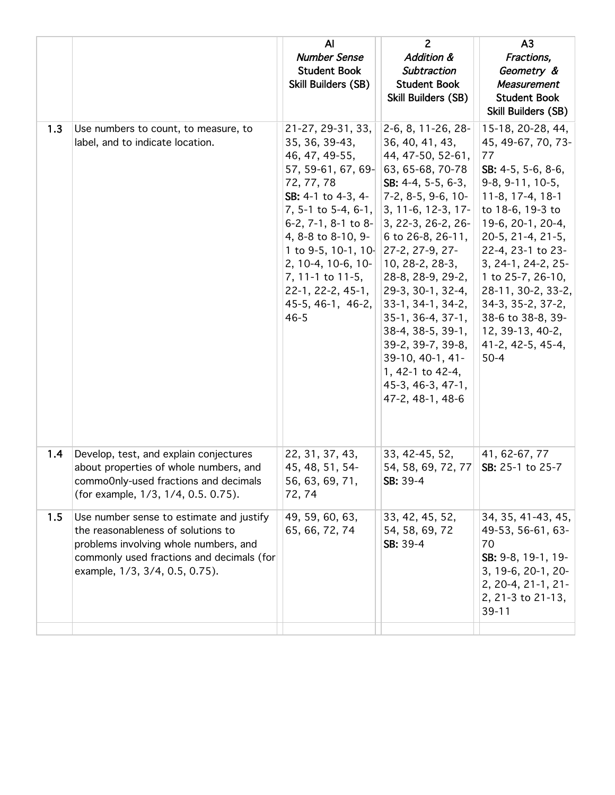|     |                                                                                                                                                                                                        | AI<br><b>Number Sense</b><br><b>Student Book</b><br>Skill Builders (SB)                                                                                                                                                                                                                                                                       | $\overline{2}$<br><b>Addition &amp;</b><br>Subtraction<br><b>Student Book</b><br>Skill Builders (SB)                                                                                                                                                                                                                                                                                                                                | A <sub>3</sub><br>Fractions,<br>Geometry &<br>Measurement<br><b>Student Book</b><br><b>Skill Builders (SB)</b>                                                                                                                                                                                                                                                   |
|-----|--------------------------------------------------------------------------------------------------------------------------------------------------------------------------------------------------------|-----------------------------------------------------------------------------------------------------------------------------------------------------------------------------------------------------------------------------------------------------------------------------------------------------------------------------------------------|-------------------------------------------------------------------------------------------------------------------------------------------------------------------------------------------------------------------------------------------------------------------------------------------------------------------------------------------------------------------------------------------------------------------------------------|------------------------------------------------------------------------------------------------------------------------------------------------------------------------------------------------------------------------------------------------------------------------------------------------------------------------------------------------------------------|
| 1.3 | Use numbers to count, to measure, to<br>label, and to indicate location.                                                                                                                               | 21-27, 29-31, 33,<br>35, 36, 39-43,<br>46, 47, 49-55,<br>57, 59-61, 67, 69- 63, 65-68, 70-78<br>72, 77, 78<br>SB: 4-1 to 4-3, 4-<br>7, 5-1 to 5-4, 6-1,<br>6-2, 7-1, 8-1 to 8-<br>4, 8-8 to 8-10, 9-<br>1 to 9-5, 10-1, 10 $ 27-2, 27-9, 27-$<br>2, 10-4, 10-6, 10-<br>7, 11-1 to 11-5,<br>22-1, 22-2, 45-1,<br>45-5, 46-1, 46-2,<br>$46 - 5$ | 2-6, 8, 11-26, 28-<br>36, 40, 41, 43,<br>44, 47-50, 52-61,<br>SB: $4-4$ , $5-5$ , $6-3$ ,<br>$ 7-2, 8-5, 9-6, 10-$<br>$ 3, 11-6, 12-3, 17-$<br>$ 3, 22-3, 26-2, 26-$<br>6 to 26-8, 26-11,<br>$ 10, 28-2, 28-3,$<br>28-8, 28-9, 29-2,<br>$ 29-3, 30-1, 32-4,$<br>33-1, 34-1, 34-2,<br>$35-1, 36-4, 37-1,$<br>38-4, 38-5, 39-1,<br>39-2, 39-7, 39-8,<br>39-10, 40-1, 41-<br>1, 42-1 to 42-4,<br>45-3, 46-3, 47-1,<br>47-2, 48-1, 48-6 | 15-18, 20-28, 44,<br>45, 49-67, 70, 73-<br>77<br>SB: 4-5, 5-6, 8-6,<br>$9-8, 9-11, 10-5,$<br>11-8, 17-4, 18-1<br>to 18-6, 19-3 to<br>19-6, 20-1, 20-4,<br>20-5, 21-4, 21-5,<br>22-4, 23-1 to 23-<br>3, 24-1, 24-2, 25-<br>1 to 25-7, 26-10,<br>28-11, 30-2, 33-2,<br>34-3, 35-2, 37-2,<br>38-6 to 38-8, 39-<br>12, 39-13, 40-2,<br>41-2, 42-5, 45-4,<br>$50 - 4$ |
| 1.4 | Develop, test, and explain conjectures<br>about properties of whole numbers, and<br>commoOnly-used fractions and decimals<br>(for example, 1/3, 1/4, 0.5, 0.75).                                       | 22, 31, 37, 43,<br>45, 48, 51, 54-<br>56, 63, 69, 71,<br>72,74                                                                                                                                                                                                                                                                                | 33, 42-45, 52,<br>54, 58, 69, 72, 77<br>SB: 39-4                                                                                                                                                                                                                                                                                                                                                                                    | 41, 62-67, 77<br>SB: 25-1 to 25-7                                                                                                                                                                                                                                                                                                                                |
| 1.5 | Use number sense to estimate and justify<br>the reasonableness of solutions to<br>problems involving whole numbers, and<br>commonly used fractions and decimals (for<br>example, 1/3, 3/4, 0.5, 0.75). | 49, 59, 60, 63,<br>65, 66, 72, 74                                                                                                                                                                                                                                                                                                             | 33, 42, 45, 52,<br>54, 58, 69, 72<br>SB: 39-4                                                                                                                                                                                                                                                                                                                                                                                       | 34, 35, 41-43, 45,<br>49-53, 56-61, 63-<br>70<br>SB: 9-8, 19-1, 19-<br>3, 19-6, 20-1, 20-<br>2, 20-4, 21-1, 21-<br>2, 21-3 to 21-13,<br>$39 - 11$                                                                                                                                                                                                                |
|     |                                                                                                                                                                                                        |                                                                                                                                                                                                                                                                                                                                               |                                                                                                                                                                                                                                                                                                                                                                                                                                     |                                                                                                                                                                                                                                                                                                                                                                  |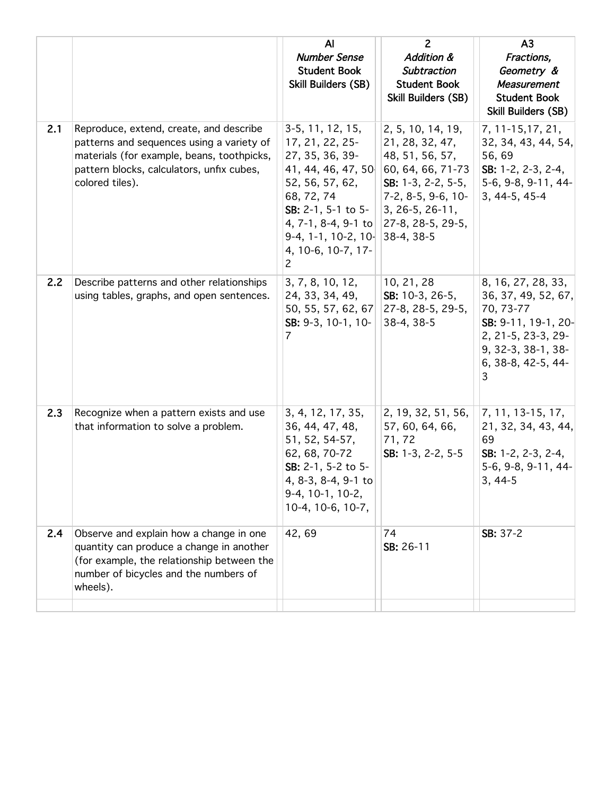|     |                                                                                                                                                                                                    | AI<br><b>Number Sense</b><br><b>Student Book</b><br>Skill Builders (SB)                                                                                                                                                                                                            | $\overline{2}$<br><b>Addition &amp;</b><br>Subtraction<br><b>Student Book</b><br>Skill Builders (SB)                                 | A <sub>3</sub><br>Fractions,<br>Geometry &<br><b>Measurement</b><br><b>Student Book</b><br><b>Skill Builders (SB)</b>                                |
|-----|----------------------------------------------------------------------------------------------------------------------------------------------------------------------------------------------------|------------------------------------------------------------------------------------------------------------------------------------------------------------------------------------------------------------------------------------------------------------------------------------|--------------------------------------------------------------------------------------------------------------------------------------|------------------------------------------------------------------------------------------------------------------------------------------------------|
| 2.1 | Reproduce, extend, create, and describe<br>patterns and sequences using a variety of<br>materials (for example, beans, toothpicks,<br>pattern blocks, calculators, unfix cubes,<br>colored tiles). | $3-5, 11, 12, 15,$<br>17, 21, 22, 25-<br>27, 35, 36, 39-<br>41, 44, 46, 47, 50 60, 64, 66, 71-73<br>52, 56, 57, 62,<br>68, 72, 74<br>SB: $2-1$ , $5-1$ to $5-$<br>4, 7-1, 8-4, 9-1 to 27-8, 28-5, 29-5,<br>$9-4, 1-1, 10-2, 10$ 38-4, 38-5<br>4, 10-6, 10-7, 17-<br>$\overline{2}$ | 2, 5, 10, 14, 19,<br>21, 28, 32, 47,<br>48, 51, 56, 57,<br>SB: $1-3$ , $2-2$ , $5-5$ ,<br>$ 7-2, 8-5, 9-6, 10-$<br>$3, 26-5, 26-11,$ | 7, 11-15, 17, 21,<br>32, 34, 43, 44, 54,<br>56,69<br>SB: 1-2, 2-3, 2-4,<br>5-6, 9-8, 9-11, 44-<br>3, 44-5, 45-4                                      |
| 2.2 | Describe patterns and other relationships<br>using tables, graphs, and open sentences.                                                                                                             | 3, 7, 8, 10, 12,<br>24, 33, 34, 49,<br>50, 55, 57, 62, 67<br>SB: 9-3, 10-1, 10-<br>7                                                                                                                                                                                               | 10, 21, 28<br>SB: 10-3, 26-5,<br>27-8, 28-5, 29-5,<br>$38-4, 38-5$                                                                   | 8, 16, 27, 28, 33,<br>36, 37, 49, 52, 67,<br>70, 73-77<br>SB: 9-11, 19-1, 20-<br>2, 21-5, 23-3, 29-<br>9, 32-3, 38-1, 38-<br>6, 38-8, 42-5, 44-<br>3 |
| 2.3 | Recognize when a pattern exists and use<br>that information to solve a problem.                                                                                                                    | 3, 4, 12, 17, 35,<br>36, 44, 47, 48,<br>51, 52, 54-57,<br>62, 68, 70-72<br>SB: 2-1, 5-2 to 5-<br>4, 8-3, 8-4, 9-1 to<br>9-4, 10-1, 10-2,<br>10-4, 10-6, 10-7,                                                                                                                      | 2, 19, 32, 51, 56,<br>57, 60, 64, 66,<br>71,72<br>SB: 1-3, 2-2, 5-5                                                                  | 7, 11, 13-15, 17,<br>21, 32, 34, 43, 44,<br>69<br>SB: 1-2, 2-3, 2-4,<br>5-6, 9-8, 9-11, 44-<br>$3, 44-5$                                             |
| 2.4 | Observe and explain how a change in one<br>quantity can produce a change in another<br>(for example, the relationship between the<br>number of bicycles and the numbers of<br>wheels).             | 42,69                                                                                                                                                                                                                                                                              | 74<br>SB: 26-11                                                                                                                      | SB: 37-2                                                                                                                                             |
|     |                                                                                                                                                                                                    |                                                                                                                                                                                                                                                                                    |                                                                                                                                      |                                                                                                                                                      |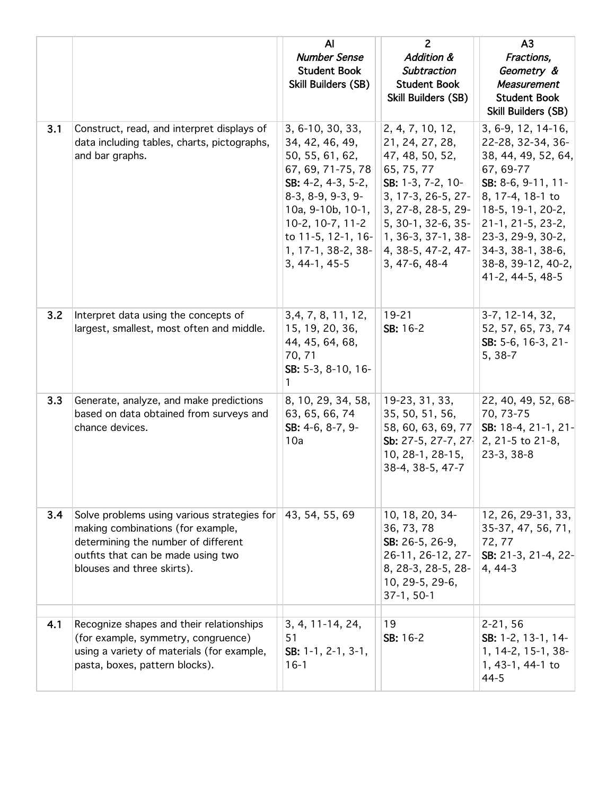|     |                                                                                                                                                                                             | $\mathsf{A}$<br><b>Number Sense</b><br><b>Student Book</b><br>Skill Builders (SB)                                                                                                                                                         | $\overline{2}$<br><b>Addition &amp;</b><br>Subtraction<br><b>Student Book</b><br>Skill Builders (SB)                                                                                                                             | A <sub>3</sub><br>Fractions,<br>Geometry &<br><b>Measurement</b><br><b>Student Book</b><br>Skill Builders (SB)                                                                                                                                      |
|-----|---------------------------------------------------------------------------------------------------------------------------------------------------------------------------------------------|-------------------------------------------------------------------------------------------------------------------------------------------------------------------------------------------------------------------------------------------|----------------------------------------------------------------------------------------------------------------------------------------------------------------------------------------------------------------------------------|-----------------------------------------------------------------------------------------------------------------------------------------------------------------------------------------------------------------------------------------------------|
| 3.1 | Construct, read, and interpret displays of<br>data including tables, charts, pictographs,<br>and bar graphs.                                                                                | 3, 6-10, 30, 33,<br>34, 42, 46, 49,<br>50, 55, 61, 62,<br>67, 69, 71-75, 78<br>SB: $4-2$ , $4-3$ , $5-2$ ,<br>$8-3, 8-9, 9-3, 9-$<br>10a, 9-10b, 10-1,<br>10-2, 10-7, 11-2<br>to 11-5, 12-1, 16-<br>1, 17-1, 38-2, 38-<br>$3, 44-1, 45-5$ | 2, 4, 7, 10, 12,<br>21, 24, 27, 28,<br>47, 48, 50, 52,<br>65, 75, 77<br>SB: 1-3, 7-2, 10-<br>3, 17-3, 26-5, 27-<br>3, 27-8, 28-5, 29-<br>5, 30-1, 32-6, 35-<br>$ 1, 36-3, 37-1, 38-$<br>$ 4, 38-5, 47-2, 47-$<br>$3, 47-6, 48-4$ | 3, 6-9, 12, 14-16,<br>22-28, 32-34, 36-<br>38, 44, 49, 52, 64,<br>67, 69-77<br>SB: 8-6, 9-11, 11-<br>8, 17-4, 18-1 to<br>18-5, 19-1, 20-2,<br>21-1, 21-5, 23-2,<br>23-3, 29-9, 30-2,<br>34-3, 38-1, 38-6,<br>38-8, 39-12, 40-2,<br>41-2, 44-5, 48-5 |
| 3.2 | Interpret data using the concepts of<br>largest, smallest, most often and middle.                                                                                                           | 3, 4, 7, 8, 11, 12,<br>15, 19, 20, 36,<br>44, 45, 64, 68,<br>70, 71<br>SB: 5-3, 8-10, 16-<br>1                                                                                                                                            | $19 - 21$<br>SB: 16-2                                                                                                                                                                                                            | 3-7, 12-14, 32,<br>52, 57, 65, 73, 74<br>SB: 5-6, 16-3, 21-<br>5, 38-7                                                                                                                                                                              |
| 3.3 | Generate, analyze, and make predictions<br>based on data obtained from surveys and<br>chance devices.                                                                                       | 8, 10, 29, 34, 58,<br>63, 65, 66, 74<br>SB: 4-6, 8-7, 9-<br>10a                                                                                                                                                                           | 19-23, 31, 33,<br>35, 50, 51, 56,<br>58, 60, 63, 69, 77<br>Sb: 27-5, 27-7, 27<br>10, 28-1, 28-15,<br>38-4, 38-5, 47-7                                                                                                            | 22, 40, 49, 52, 68-<br>70, 73-75<br>SB: 18-4, 21-1, 21-<br>2, 21-5 to 21-8,<br>$23-3, 38-8$                                                                                                                                                         |
| 3.4 | Solve problems using various strategies for<br>making combinations (for example,<br>determining the number of different<br>outfits that can be made using two<br>blouses and three skirts). | 43, 54, 55, 69                                                                                                                                                                                                                            | 10, 18, 20, 34-<br>36, 73, 78<br>SB: 26-5, 26-9,<br>26-11, 26-12, 27-<br>8, 28-3, 28-5, 28-<br>10, 29-5, 29-6,<br>$37-1, 50-1$                                                                                                   | 12, 26, 29-31, 33,<br>35-37, 47, 56, 71,<br>72, 77<br>SB: 21-3, 21-4, 22-<br>4, 44-3                                                                                                                                                                |
| 4.1 | Recognize shapes and their relationships<br>(for example, symmetry, congruence)<br>using a variety of materials (for example,<br>pasta, boxes, pattern blocks).                             | $3, 4, 11-14, 24,$<br>51<br>SB: 1-1, 2-1, 3-1,<br>$16-1$                                                                                                                                                                                  | 19<br>SB: 16-2                                                                                                                                                                                                                   | $2 - 21, 56$<br>SB: 1-2, 13-1, 14-<br>1, 14-2, 15-1, 38-<br>1, 43-1, 44-1 to<br>$44 - 5$                                                                                                                                                            |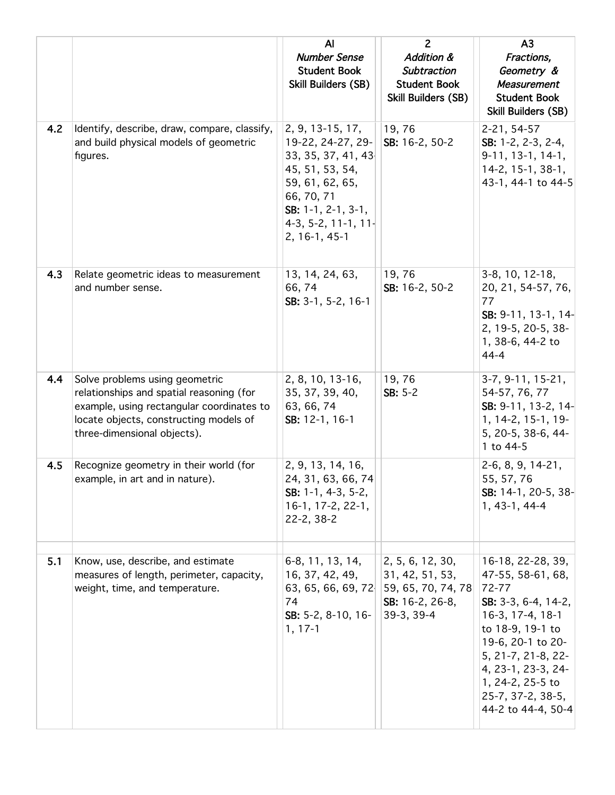|     |                                                                                                                                                                                                  | AI<br><b>Number Sense</b><br><b>Student Book</b><br>Skill Builders (SB)                                                                                                         | $\overline{2}$<br><b>Addition &amp;</b><br>Subtraction<br><b>Student Book</b><br>Skill Builders (SB)            | A <sub>3</sub><br>Fractions,<br>Geometry &<br><b>Measurement</b><br><b>Student Book</b><br>Skill Builders (SB)                                                                                                                                          |
|-----|--------------------------------------------------------------------------------------------------------------------------------------------------------------------------------------------------|---------------------------------------------------------------------------------------------------------------------------------------------------------------------------------|-----------------------------------------------------------------------------------------------------------------|---------------------------------------------------------------------------------------------------------------------------------------------------------------------------------------------------------------------------------------------------------|
| 4.2 | Identify, describe, draw, compare, classify,<br>and build physical models of geometric<br>figures.                                                                                               | 2, 9, 13-15, 17,<br>19-22, 24-27, 29-<br>33, 35, 37, 41, 43<br>45, 51, 53, 54,<br>59, 61, 62, 65,<br>66, 70, 71<br>SB: 1-1, 2-1, 3-1,<br>$4-3, 5-2, 11-1, 11-$<br>2, 16-1, 45-1 | 19,76<br>SB: 16-2, 50-2                                                                                         | 2-21, 54-57<br>SB: 1-2, 2-3, 2-4,<br>9-11, 13-1, 14-1,<br>14-2, 15-1, 38-1,<br>43-1, 44-1 to 44-5                                                                                                                                                       |
| 4.3 | Relate geometric ideas to measurement<br>and number sense.                                                                                                                                       | 13, 14, 24, 63,<br>66,74<br>SB: 3-1, 5-2, 16-1                                                                                                                                  | 19,76<br>SB: 16-2, 50-2                                                                                         | 3-8, 10, 12-18,<br>20, 21, 54-57, 76,<br>77<br>SB: 9-11, 13-1, 14-<br>2, 19-5, 20-5, 38-<br>1, 38-6, 44-2 to<br>$44 - 4$                                                                                                                                |
| 4.4 | Solve problems using geometric<br>relationships and spatial reasoning (for<br>example, using rectangular coordinates to<br>locate objects, constructing models of<br>three-dimensional objects). | 2, 8, 10, 13-16,<br>35, 37, 39, 40,<br>63, 66, 74<br>SB: 12-1, 16-1                                                                                                             | 19,76<br>$SB: 5-2$                                                                                              | $3-7, 9-11, 15-21,$<br>54-57, 76, 77<br>SB: 9-11, 13-2, 14-<br>$1, 14-2, 15-1, 19-$<br>5, 20-5, 38-6, 44-<br>1 to 44-5                                                                                                                                  |
| 4.5 | Recognize geometry in their world (for<br>example, in art and in nature).                                                                                                                        | 2, 9, 13, 14, 16,<br>24, 31, 63, 66, 74<br>SB: $1-1$ , $4-3$ , $5-2$ ,<br>16-1, 17-2, 22-1,<br>$22 - 2, 38 - 2$                                                                 |                                                                                                                 | 2-6, 8, 9, 14-21,<br>55, 57, 76<br>SB: 14-1, 20-5, 38-<br>1, 43-1, 44-4                                                                                                                                                                                 |
| 5.1 | Know, use, describe, and estimate<br>measures of length, perimeter, capacity,<br>weight, time, and temperature.                                                                                  | 6-8, 11, 13, 14,<br>16, 37, 42, 49,<br>74<br>SB: 5-2, 8-10, 16-<br>$1, 17-1$                                                                                                    | 2, 5, 6, 12, 30,<br>31, 42, 51, 53,<br>63, 65, 66, 69, 72 59, 65, 70, 74, 78<br>SB: 16-2, 26-8,<br>$39-3, 39-4$ | 16-18, 22-28, 39,<br>47-55, 58-61, 68,<br>72-77<br>SB: $3-3$ , $6-4$ , $14-2$ ,<br>16-3, 17-4, 18-1<br>to 18-9, 19-1 to<br>19-6, 20-1 to 20-<br>5, 21-7, 21-8, 22-<br>4, 23-1, 23-3, 24-<br>1, 24-2, 25-5 to<br>25-7, 37-2, 38-5,<br>44-2 to 44-4, 50-4 |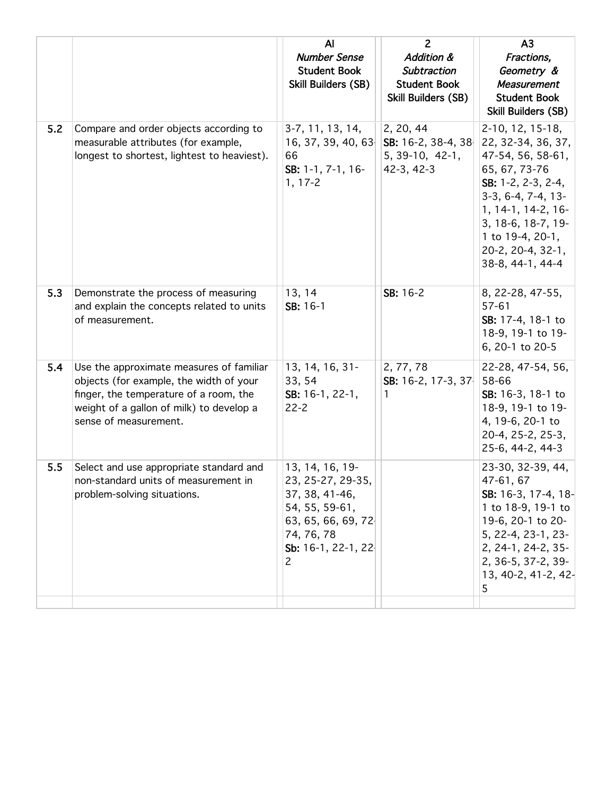|     |                                                                                                                                                                                                    | AI<br><b>Number Sense</b><br><b>Student Book</b><br>Skill Builders (SB)                                                                 | $\overline{2}$<br><b>Addition &amp;</b><br><b>Subtraction</b><br><b>Student Book</b><br>Skill Builders (SB) | A <sub>3</sub><br>Fractions,<br>Geometry &<br><b>Measurement</b><br><b>Student Book</b><br><b>Skill Builders (SB)</b>                                                                                                                        |
|-----|----------------------------------------------------------------------------------------------------------------------------------------------------------------------------------------------------|-----------------------------------------------------------------------------------------------------------------------------------------|-------------------------------------------------------------------------------------------------------------|----------------------------------------------------------------------------------------------------------------------------------------------------------------------------------------------------------------------------------------------|
| 5.2 | Compare and order objects according to<br>measurable attributes (for example,<br>longest to shortest, lightest to heaviest).                                                                       | $3-7, 11, 13, 14,$<br>16, 37, 39, 40, 63<br>66<br>SB: 1-1, 7-1, 16-<br>$1, 17 - 2$                                                      | 2, 20, 44<br>SB: 16-2, 38-4, 38<br>5, 39-10, 42-1,<br>$42-3, 42-3$                                          | 2-10, 12, 15-18,<br>22, 32-34, 36, 37,<br>47-54, 56, 58-61,<br>65, 67, 73-76<br>SB: $1-2$ , $2-3$ , $2-4$ ,<br>$3-3, 6-4, 7-4, 13-$<br>1, 14-1, 14-2, 16-<br>3, 18-6, 18-7, 19-<br>1 to 19-4, 20-1,<br>20-2, 20-4, 32-1,<br>38-8, 44-1, 44-4 |
| 5.3 | Demonstrate the process of measuring<br>and explain the concepts related to units<br>of measurement.                                                                                               | 13, 14<br>SB: 16-1                                                                                                                      | SB: 16-2                                                                                                    | 8, 22-28, 47-55,<br>$57 - 61$<br>SB: 17-4, 18-1 to<br>18-9, 19-1 to 19-<br>6, 20-1 to 20-5                                                                                                                                                   |
| 5.4 | Use the approximate measures of familiar<br>objects (for example, the width of your<br>finger, the temperature of a room, the<br>weight of a gallon of milk) to develop a<br>sense of measurement. | 13, 14, 16, 31-<br>33, 54<br>SB: 16-1, 22-1,<br>$22 - 2$                                                                                | 2, 77, 78<br>SB: 16-2, 17-3, 37<br>1                                                                        | 22-28, 47-54, 56,<br>58-66<br>SB: 16-3, 18-1 to<br>18-9, 19-1 to 19-<br>4, 19-6, 20-1 to<br>20-4, 25-2, 25-3,<br>25-6, 44-2, 44-3                                                                                                            |
| 5.5 | Select and use appropriate standard and<br>non-standard units of measurement in<br>problem-solving situations.                                                                                     | 13, 14, 16, 19-<br>23, 25-27, 29-35,<br>37, 38, 41-46,<br>54, 55, 59-61,<br>63, 65, 66, 69, 72<br>74, 76, 78<br>Sb: 16-1, 22-1, 22<br>2 |                                                                                                             | 23-30, 32-39, 44,<br>47-61, 67<br>SB: 16-3, 17-4, 18-<br>1 to 18-9, 19-1 to<br>19-6, 20-1 to 20-<br>5, 22-4, 23-1, 23-<br>2, 24-1, 24-2, 35-<br>2, 36-5, 37-2, 39-<br>13, 40-2, 41-2, 42-<br>5                                               |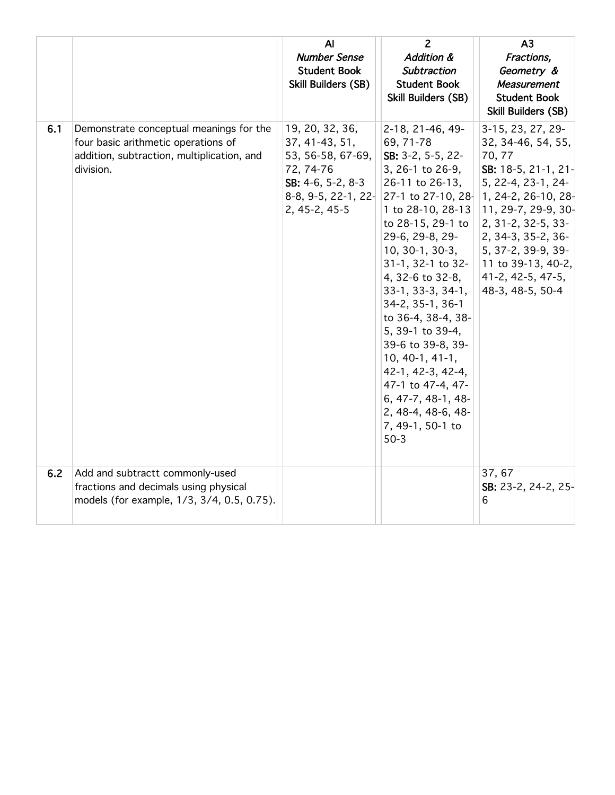|     |                                                                                                                                           | $\overline{A}$<br><b>Number Sense</b><br><b>Student Book</b><br>Skill Builders (SB)                         | $\overline{2}$<br><b>Addition &amp;</b><br><b>Subtraction</b><br><b>Student Book</b><br>Skill Builders (SB)                                                                                                                                                                                                                                                                                                                                                              | A <sub>3</sub><br>Fractions,<br>Geometry &<br>Measurement<br><b>Student Book</b><br>Skill Builders (SB)                                                                                                                                                                                                             |
|-----|-------------------------------------------------------------------------------------------------------------------------------------------|-------------------------------------------------------------------------------------------------------------|--------------------------------------------------------------------------------------------------------------------------------------------------------------------------------------------------------------------------------------------------------------------------------------------------------------------------------------------------------------------------------------------------------------------------------------------------------------------------|---------------------------------------------------------------------------------------------------------------------------------------------------------------------------------------------------------------------------------------------------------------------------------------------------------------------|
| 6.1 | Demonstrate conceptual meanings for the<br>four basic arithmetic operations of<br>addition, subtraction, multiplication, and<br>division. | 19, 20, 32, 36,<br>37, 41-43, 51,<br>53, 56-58, 67-69,<br>72, 74-76<br>$SB: 4-6, 5-2, 8-3$<br>2, 45-2, 45-5 | 2-18, 21-46, 49-<br>69, 71-78<br>SB: 3-2, 5-5, 22-<br>3, 26-1 to 26-9,<br>26-11 to 26-13,<br>1 to 28-10, 28-13<br>to 28-15, 29-1 to<br>29-6, 29-8, 29-<br>10, 30-1, 30-3,<br>$31-1$ , 32-1 to 32-<br>4, 32-6 to 32-8,<br>$33-1, 33-3, 34-1,$<br>34-2, 35-1, 36-1<br>to 36-4, 38-4, 38-<br>5, 39-1 to 39-4,<br>39-6 to 39-8, 39-<br>$10, 40-1, 41-1,$<br>42-1, 42-3, 42-4,<br>47-1 to 47-4, 47-<br>6, 47-7, 48-1, 48-<br>2, 48-4, 48-6, 48-<br>7, 49-1, 50-1 to<br>$50-3$ | 3-15, 23, 27, 29-<br>32, 34-46, 54, 55,<br>70, 77<br>SB: 18-5, 21-1, 21-<br>5, 22-4, 23-1, 24-<br>8-8, 9-5, 22-1, 22-2-7-1 to 27-10, 28-2, 24-2, 26-10, 28-<br>11, 29-7, 29-9, 30-<br>2, 31-2, 32-5, 33-<br>2, 34-3, 35-2, 36-<br>5, 37-2, 39-9, 39-<br>11 to 39-13, 40-2,<br>41-2, 42-5, 47-5,<br>48-3, 48-5, 50-4 |
| 6.2 | Add and subtractt commonly-used<br>fractions and decimals using physical<br>models (for example, 1/3, 3/4, 0.5, 0.75).                    |                                                                                                             |                                                                                                                                                                                                                                                                                                                                                                                                                                                                          | 37,67<br>SB: 23-2, 24-2, 25-<br>6                                                                                                                                                                                                                                                                                   |